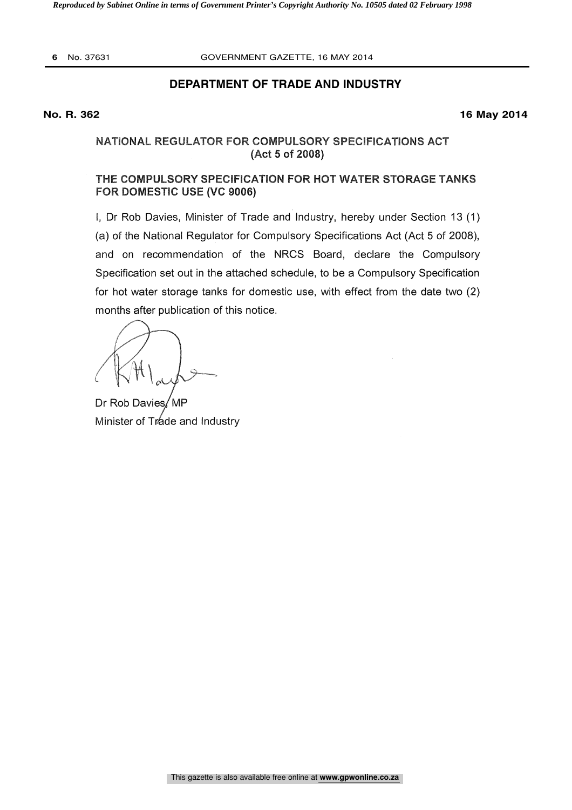**6** No. 37631 GOVERNMENT GAZETTE, 16 MAY 2014

## **DEPARTMENT OF TRADE AND INDUSTRY**

**No. R. 362 16 May 2014**

# NATIONAL REGULATOR FOR COMPULSORY SPECIFICATIONS ACT (Act 5 of 2008)

# THE COMPULSORY SPECIFICATION FOR HOT WATER STORAGE TANKS FOR DOMESTIC USE (VC 9006)

I, Dr Rob Davies, Minister of Trade and Industry, hereby under Section 13 (1) (a) of the National Regulator for Compulsory Specifications Act (Act 5 of 2008), and on recommendation of the NRCS Board, declare the Compulsory Specification set out in the attached schedule, to be a Compulsory Specification for hot water storage tanks for domestic use, with effect from the date two (2) months after publication of this notice.

Dr Rob Davies / MP Minister of Trade and Industry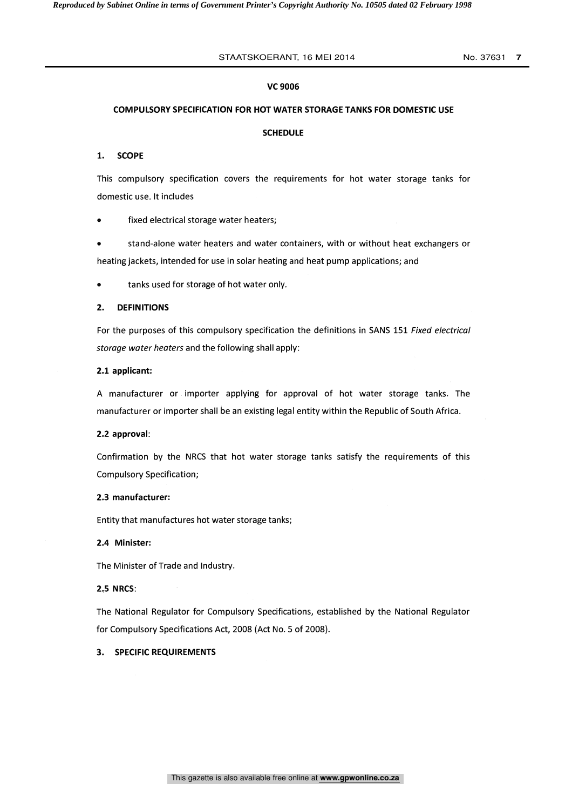### STAATSKOERANT, 16 MEI 2014 No. 37631 7

#### VC 9006

# COMPULSORY SPECIFICATION FOR HOT WATER STORAGE TANKS FOR DOMESTIC USE 1. SCOPE

#### SCHEDULE

This compulsory specification covers the requirements for hot water storage tanks for domestic use. It includes

fixed electrical storage water heaters;

stand-alone water heaters and water containers, with or without heat exchangers or heating jackets, intended for use in solar heating and heat pump applications; and

tanks used for storage of hot water only.

#### 2. DEFINITIONS

For the purposes of this compulsory specification the definitions in SANS 151 Fixed electrical storage water heaters and the following shall apply:

#### 2.1 applicant:

A manufacturer or importer applying for approval of hot water storage tanks. The manufacturer or importer shall be an existing legal entity within the Republic of South Africa.

#### 2.2 approval:

Confirmation by the NRCS that hot water storage tanks satisfy the requirements of this Compulsory Specification;

#### 2.3 manufacturer:

Entity that manufactures hot water storage tanks;

#### 2.4 Minister:

The Minister of Trade and Industry.

#### 2.5 NRCS:

The National Regulator for Compulsory Specifications, established by the National Regulator for Compulsory Specifications Act, 2008 (Act No. 5 of 2008).

## 3. SPECIFIC REQUIREMENTS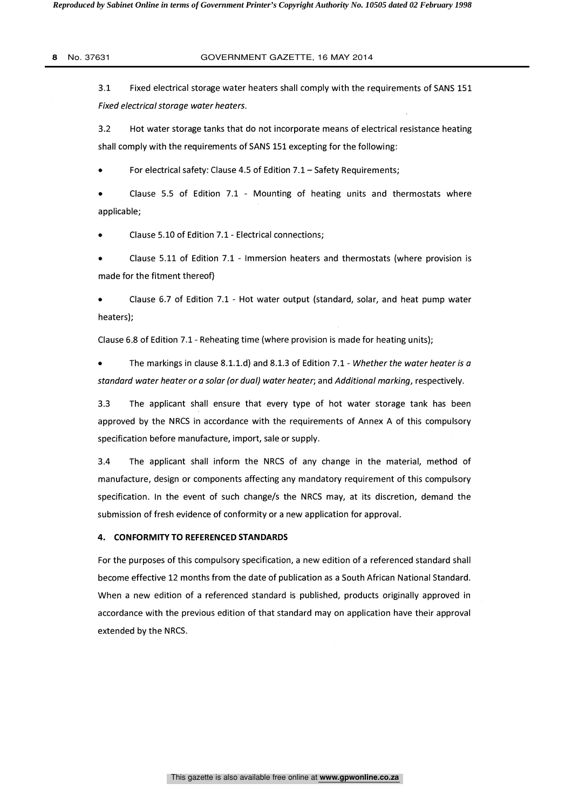#### **8** No. 37631 GOVERNMENT GAZETTE, 16 MAY 2014

3.1 Fixed electrical storage water heaters shall comply with the requirements of SANS 151 Fixed electrical storage water heaters.

3.2 Hot water storage tanks that do not incorporate means of electrical resistance heating shall comply with the requirements of SANS 151 excepting for the following:

For electrical safety: Clause 4.5 of Edition 7.1 - Safety Requirements;

Clause 5.5 of Edition 7.1 - Mounting of heating units and thermostats where applicable;

Clause 5.10 of Edition 7.1 - Electrical connections;

Clause 5.11 of Edition 7.1 - Immersion heaters and thermostats (where provision is made for the fitment thereof)

Clause 6.7 of Edition 7.1 - Hot water output (standard, solar, and heat pump water heaters);

Clause 6.8 of Edition 7.1 - Reheating time (where provision is made for heating units);

The markings in clause 8.1.1.d) and 8.1.3 of Edition 7.1- Whether the water heater is a standard water heater or a solar (or dual) water heater; and Additional marking, respectively.

3.3 The applicant shall ensure that every type of hot water storage tank has been approved by the NRCS in accordance with the requirements of Annex A of this compulsory specification before manufacture, import, sale or supply.

3.4 The applicant shall inform the NRCS of any change in the material, method of manufacture, design or components affecting any mandatory requirement of this compulsory specification. In the event of such change/s the NRCS may, at its discretion, demand the submission of fresh evidence of conformity or a new application for approval.

#### 4. CONFORMITY TO REFERENCED STANDARDS

For the purposes of this compulsory specification, a new edition of a referenced standard shall become effective 12 months from the date of publication as a South African National Standard. When a new edition of a referenced standard is published, products originally approved in accordance with the previous edition of that standard may on application have their approval extended by the NRCS.